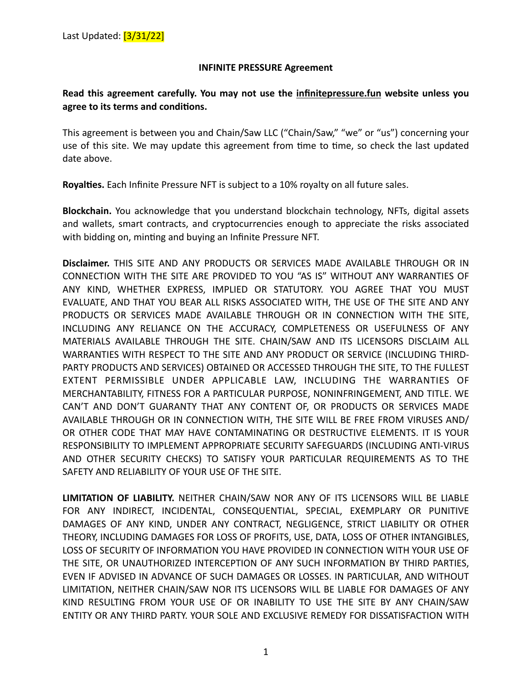## **INFINITE PRESSURE Agreement**

## **Read this agreement carefully. You may not use the infinitepressure.fun website unless you**  agree to its terms and conditions.

This agreement is between you and Chain/Saw LLC ("Chain/Saw," "we" or "us") concerning your use of this site. We may update this agreement from time to time, so check the last updated date above.

Royalties. Each Infinite Pressure NFT is subject to a 10% royalty on all future sales.

**Blockchain.** You acknowledge that you understand blockchain technology, NFTs, digital assets and wallets, smart contracts, and cryptocurrencies enough to appreciate the risks associated with bidding on, minting and buying an Infinite Pressure NFT.

**Disclaimer.** THIS SITE AND ANY PRODUCTS OR SERVICES MADE AVAILABLE THROUGH OR IN CONNECTION WITH THE SITE ARE PROVIDED TO YOU "AS IS" WITHOUT ANY WARRANTIES OF ANY KIND, WHETHER EXPRESS, IMPLIED OR STATUTORY. YOU AGREE THAT YOU MUST EVALUATE, AND THAT YOU BEAR ALL RISKS ASSOCIATED WITH, THE USE OF THE SITE AND ANY PRODUCTS OR SERVICES MADE AVAILABLE THROUGH OR IN CONNECTION WITH THE SITE, INCLUDING ANY RELIANCE ON THE ACCURACY, COMPLETENESS OR USEFULNESS OF ANY MATERIALS AVAILABLE THROUGH THE SITE. CHAIN/SAW AND ITS LICENSORS DISCLAIM ALL WARRANTIES WITH RESPECT TO THE SITE AND ANY PRODUCT OR SERVICE (INCLUDING THIRD-PARTY PRODUCTS AND SERVICES) OBTAINED OR ACCESSED THROUGH THE SITE, TO THE FULLEST EXTENT PERMISSIBLE UNDER APPLICABLE LAW, INCLUDING THE WARRANTIES OF MERCHANTABILITY, FITNESS FOR A PARTICULAR PURPOSE, NONINFRINGEMENT, AND TITLE. WE CAN'T AND DON'T GUARANTY THAT ANY CONTENT OF, OR PRODUCTS OR SERVICES MADE AVAILABLE THROUGH OR IN CONNECTION WITH, THE SITE WILL BE FREE FROM VIRUSES AND/ OR OTHER CODE THAT MAY HAVE CONTAMINATING OR DESTRUCTIVE ELEMENTS. IT IS YOUR RESPONSIBILITY TO IMPLEMENT APPROPRIATE SECURITY SAFEGUARDS (INCLUDING ANTI-VIRUS AND OTHER SECURITY CHECKS) TO SATISFY YOUR PARTICULAR REQUIREMENTS AS TO THE SAFETY AND RELIABILITY OF YOUR USE OF THE SITE.

**LIMITATION OF LIABILITY.** NEITHER CHAIN/SAW NOR ANY OF ITS LICENSORS WILL BE LIABLE FOR ANY INDIRECT, INCIDENTAL, CONSEQUENTIAL, SPECIAL, EXEMPLARY OR PUNITIVE DAMAGES OF ANY KIND, UNDER ANY CONTRACT, NEGLIGENCE, STRICT LIABILITY OR OTHER THEORY, INCLUDING DAMAGES FOR LOSS OF PROFITS, USE, DATA, LOSS OF OTHER INTANGIBLES, LOSS OF SECURITY OF INFORMATION YOU HAVE PROVIDED IN CONNECTION WITH YOUR USE OF THE SITE, OR UNAUTHORIZED INTERCEPTION OF ANY SUCH INFORMATION BY THIRD PARTIES, EVEN IF ADVISED IN ADVANCE OF SUCH DAMAGES OR LOSSES. IN PARTICULAR, AND WITHOUT LIMITATION, NEITHER CHAIN/SAW NOR ITS LICENSORS WILL BE LIABLE FOR DAMAGES OF ANY KIND RESULTING FROM YOUR USE OF OR INABILITY TO USE THE SITE BY ANY CHAIN/SAW ENTITY OR ANY THIRD PARTY. YOUR SOLE AND EXCLUSIVE REMEDY FOR DISSATISFACTION WITH